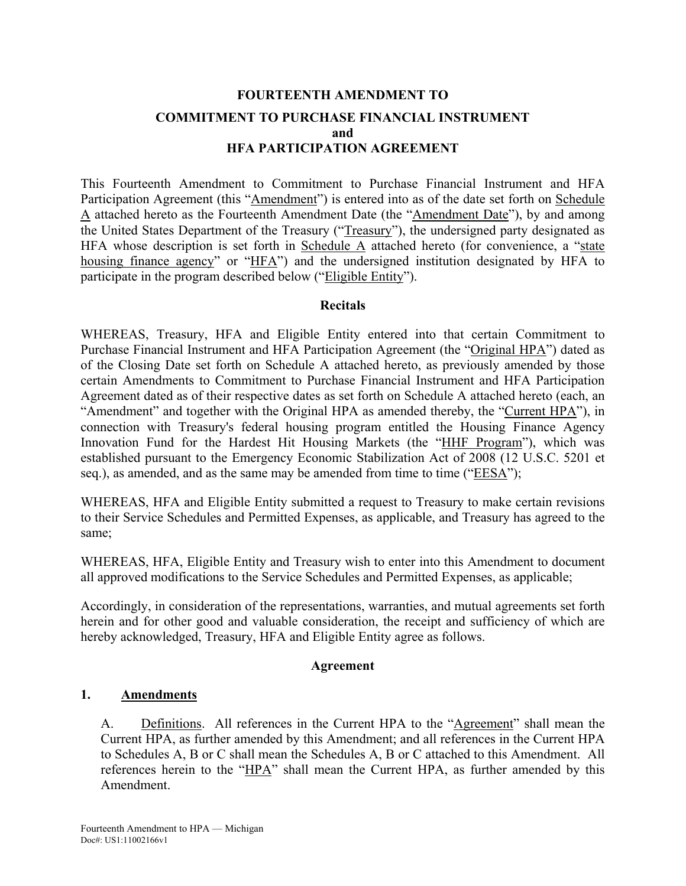## **FOURTEENTH AMENDMENT TO COMMITMENT TO PURCHASE FINANCIAL INSTRUMENT and HFA PARTICIPATION AGREEMENT**

This Fourteenth Amendment to Commitment to Purchase Financial Instrument and HFA Participation Agreement (this "Amendment") is entered into as of the date set forth on Schedule A attached hereto as the Fourteenth Amendment Date (the "Amendment Date"), by and among the United States Department of the Treasury ("Treasury"), the undersigned party designated as HFA whose description is set forth in Schedule  $\overline{A}$  attached hereto (for convenience, a "state housing finance agency" or "HFA") and the undersigned institution designated by HFA to participate in the program described below ("Eligible Entity").

#### **Recitals**

WHEREAS, Treasury, HFA and Eligible Entity entered into that certain Commitment to Purchase Financial Instrument and HFA Participation Agreement (the "Original HPA") dated as of the Closing Date set forth on Schedule A attached hereto, as previously amended by those certain Amendments to Commitment to Purchase Financial Instrument and HFA Participation Agreement dated as of their respective dates as set forth on Schedule A attached hereto (each, an "Amendment" and together with the Original HPA as amended thereby, the "Current HPA"), in connection with Treasury's federal housing program entitled the Housing Finance Agency Innovation Fund for the Hardest Hit Housing Markets (the "HHF Program"), which was established pursuant to the Emergency Economic Stabilization Act of 2008 (12 U.S.C. 5201 et seq.), as amended, and as the same may be amended from time to time ("EESA");

WHEREAS, HFA and Eligible Entity submitted a request to Treasury to make certain revisions to their Service Schedules and Permitted Expenses, as applicable, and Treasury has agreed to the same;

WHEREAS, HFA, Eligible Entity and Treasury wish to enter into this Amendment to document all approved modifications to the Service Schedules and Permitted Expenses, as applicable;

Accordingly, in consideration of the representations, warranties, and mutual agreements set forth herein and for other good and valuable consideration, the receipt and sufficiency of which are hereby acknowledged, Treasury, HFA and Eligible Entity agree as follows.

#### **Agreement**

#### **1. Amendments**

A. Definitions. All references in the Current HPA to the "Agreement" shall mean the Current HPA, as further amended by this Amendment; and all references in the Current HPA to Schedules A, B or C shall mean the Schedules A, B or C attached to this Amendment. All references herein to the "HPA" shall mean the Current HPA, as further amended by this Amendment.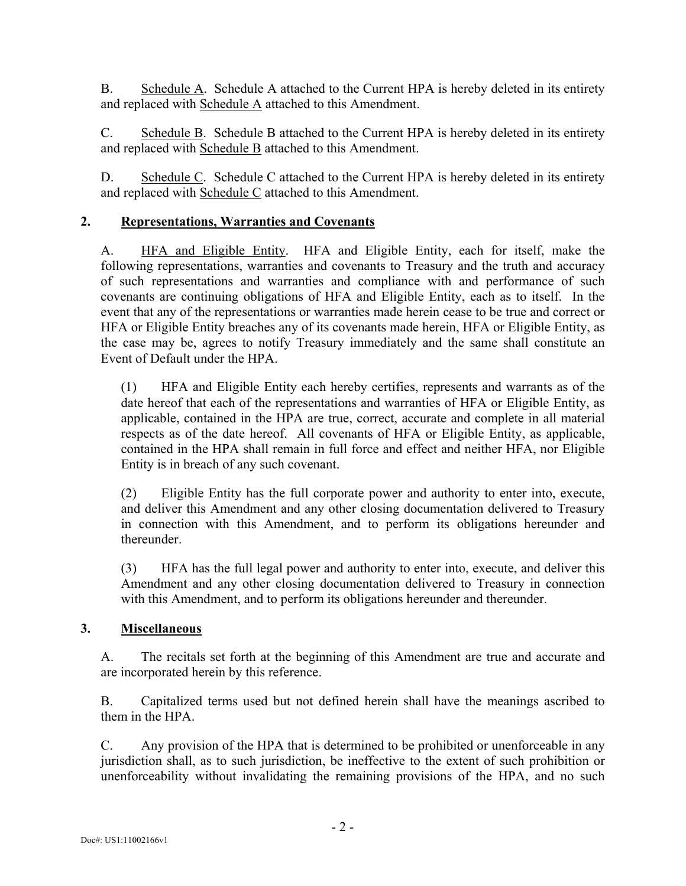B. Schedule A. Schedule A attached to the Current HPA is hereby deleted in its entirety and replaced with Schedule A attached to this Amendment.

C. Schedule B. Schedule B attached to the Current HPA is hereby deleted in its entirety and replaced with Schedule B attached to this Amendment.

D. Schedule C. Schedule C attached to the Current HPA is hereby deleted in its entirety and replaced with Schedule C attached to this Amendment.

#### **2. Representations, Warranties and Covenants**

A. HFA and Eligible Entity. HFA and Eligible Entity, each for itself, make the following representations, warranties and covenants to Treasury and the truth and accuracy of such representations and warranties and compliance with and performance of such covenants are continuing obligations of HFA and Eligible Entity, each as to itself. In the event that any of the representations or warranties made herein cease to be true and correct or HFA or Eligible Entity breaches any of its covenants made herein, HFA or Eligible Entity, as the case may be, agrees to notify Treasury immediately and the same shall constitute an Event of Default under the HPA.

(1) HFA and Eligible Entity each hereby certifies, represents and warrants as of the date hereof that each of the representations and warranties of HFA or Eligible Entity, as applicable, contained in the HPA are true, correct, accurate and complete in all material respects as of the date hereof. All covenants of HFA or Eligible Entity, as applicable, contained in the HPA shall remain in full force and effect and neither HFA, nor Eligible Entity is in breach of any such covenant.

(2) Eligible Entity has the full corporate power and authority to enter into, execute, and deliver this Amendment and any other closing documentation delivered to Treasury in connection with this Amendment, and to perform its obligations hereunder and thereunder.

(3) HFA has the full legal power and authority to enter into, execute, and deliver this Amendment and any other closing documentation delivered to Treasury in connection with this Amendment, and to perform its obligations hereunder and thereunder.

#### **3. Miscellaneous**

A. The recitals set forth at the beginning of this Amendment are true and accurate and are incorporated herein by this reference.

B. Capitalized terms used but not defined herein shall have the meanings ascribed to them in the HPA.

C. Any provision of the HPA that is determined to be prohibited or unenforceable in any jurisdiction shall, as to such jurisdiction, be ineffective to the extent of such prohibition or unenforceability without invalidating the remaining provisions of the HPA, and no such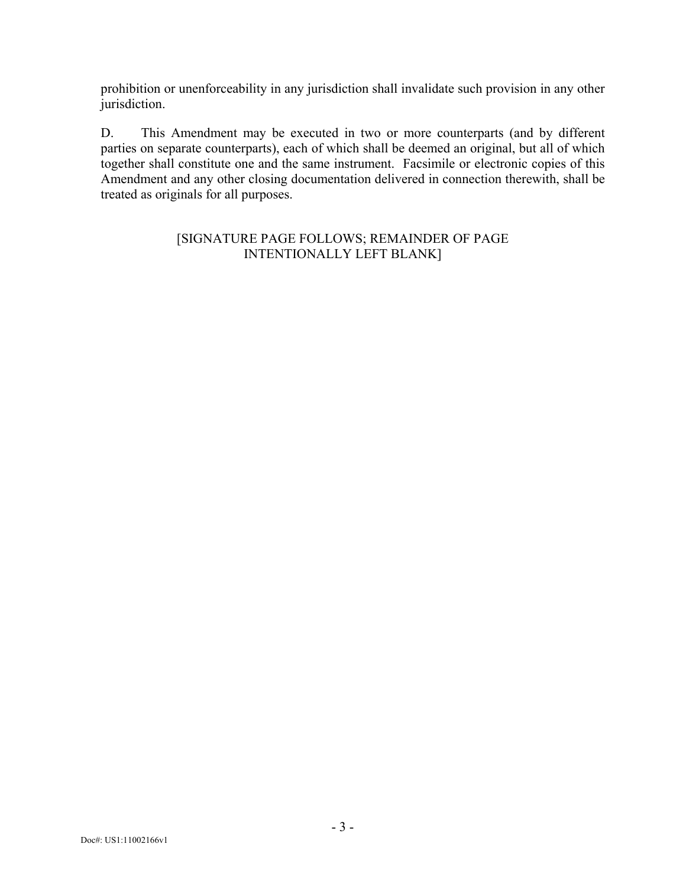prohibition or unenforceability in any jurisdiction shall invalidate such provision in any other jurisdiction.

D. This Amendment may be executed in two or more counterparts (and by different parties on separate counterparts), each of which shall be deemed an original, but all of which together shall constitute one and the same instrument. Facsimile or electronic copies of this Amendment and any other closing documentation delivered in connection therewith, shall be treated as originals for all purposes.

#### [SIGNATURE PAGE FOLLOWS; REMAINDER OF PAGE INTENTIONALLY LEFT BLANK]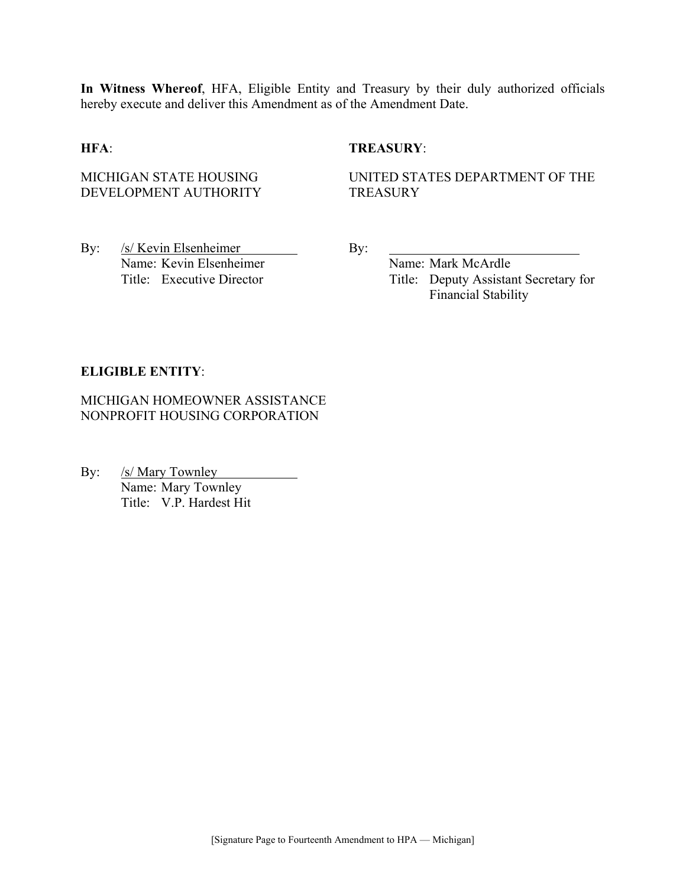**In Witness Whereof**, HFA, Eligible Entity and Treasury by their duly authorized officials hereby execute and deliver this Amendment as of the Amendment Date.

#### **HFA**: **TREASURY**:

MICHIGAN STATE HOUSING DEVELOPMENT AUTHORITY UNITED STATES DEPARTMENT OF THE **TREASURY** 

By: /s/ Kevin Elsenheimer By: Name: Kevin Elsenheimer Name: Mark McArdle

Title: Executive Director Title: Deputy Assistant Secretary for Financial Stability

#### **ELIGIBLE ENTITY**:

MICHIGAN HOMEOWNER ASSISTANCE NONPROFIT HOUSING CORPORATION

By: /s/ Mary Townley Name: Mary Townley Title: V.P. Hardest Hit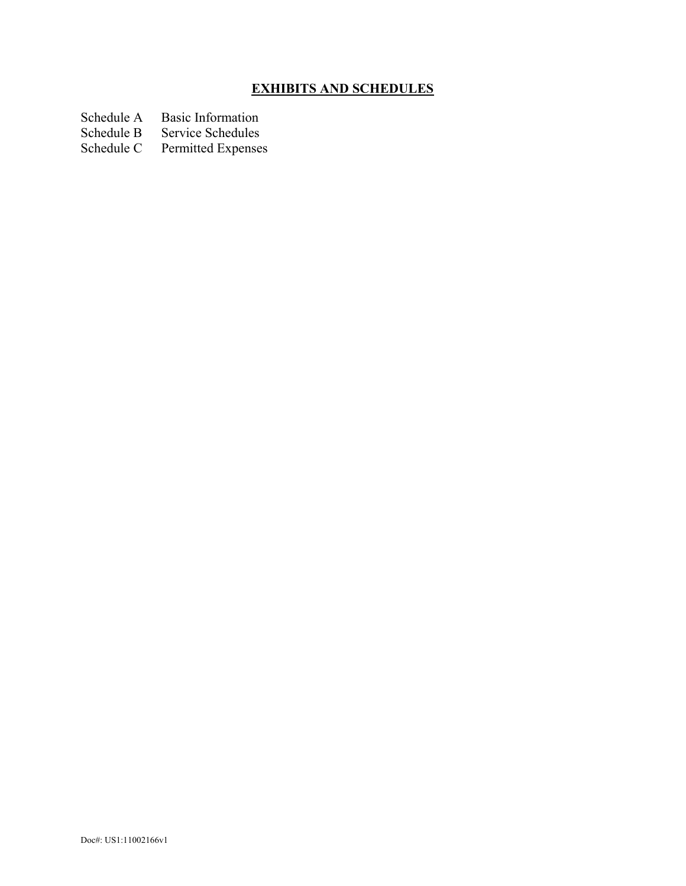## **EXHIBITS AND SCHEDULES**

- Schedule A Basic Information<br>Schedule B Service Schedules
- Schedule B Service Schedules<br>Schedule C Permitted Expenses
- Permitted Expenses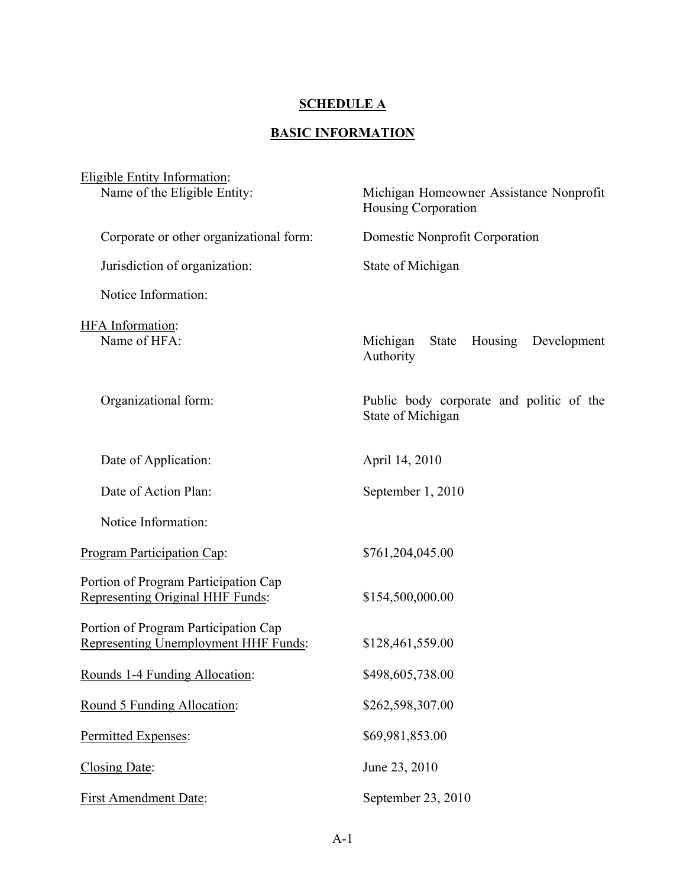### **SCHEDULE A**

# **BASIC INFORMATION**

| Eligible Entity Information:                                                 |                                                                |
|------------------------------------------------------------------------------|----------------------------------------------------------------|
| Name of the Eligible Entity:                                                 | Michigan Homeowner Assistance Nonprofit<br>Housing Corporation |
| Corporate or other organizational form:                                      | Domestic Nonprofit Corporation                                 |
| Jurisdiction of organization:                                                | State of Michigan                                              |
| Notice Information:                                                          |                                                                |
| HFA Information:<br>Name of HFA:                                             | Michigan<br>Housing<br>State<br>Development<br>Authority       |
| Organizational form:                                                         | Public body corporate and politic of the<br>State of Michigan  |
| Date of Application:                                                         | April 14, 2010                                                 |
| Date of Action Plan:                                                         | September 1, 2010                                              |
| Notice Information:                                                          |                                                                |
| Program Participation Cap:                                                   | \$761,204,045.00                                               |
| Portion of Program Participation Cap<br>Representing Original HHF Funds:     | \$154,500,000.00                                               |
| Portion of Program Participation Cap<br>Representing Unemployment HHF Funds: | \$128,461,559.00                                               |
| Rounds 1-4 Funding Allocation:                                               | \$498,605,738.00                                               |
| Round 5 Funding Allocation:                                                  | \$262,598,307.00                                               |
| Permitted Expenses:                                                          | \$69,981,853.00                                                |
| Closing Date:                                                                | June 23, 2010                                                  |
| <b>First Amendment Date:</b>                                                 | September 23, 2010                                             |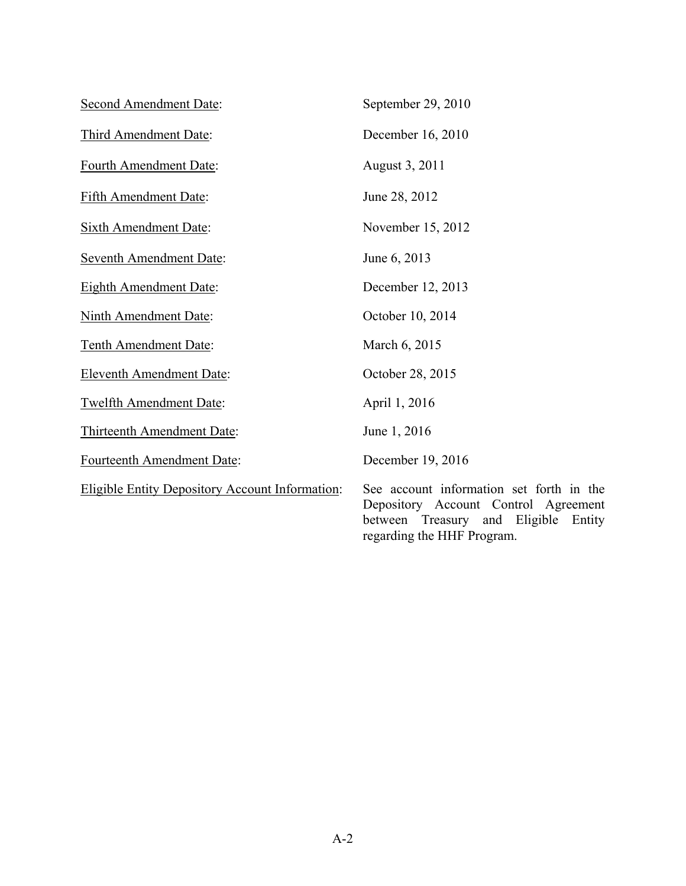| <b>Second Amendment Date:</b>                          | September 29, 2010                                                                                                                                        |
|--------------------------------------------------------|-----------------------------------------------------------------------------------------------------------------------------------------------------------|
| Third Amendment Date:                                  | December 16, 2010                                                                                                                                         |
| Fourth Amendment Date:                                 | August 3, 2011                                                                                                                                            |
| <b>Fifth Amendment Date:</b>                           | June 28, 2012                                                                                                                                             |
| <b>Sixth Amendment Date:</b>                           | November 15, 2012                                                                                                                                         |
| <b>Seventh Amendment Date:</b>                         | June 6, 2013                                                                                                                                              |
| <b>Eighth Amendment Date:</b>                          | December 12, 2013                                                                                                                                         |
| <b>Ninth Amendment Date:</b>                           | October 10, 2014                                                                                                                                          |
| Tenth Amendment Date:                                  | March 6, 2015                                                                                                                                             |
| <b>Eleventh Amendment Date:</b>                        | October 28, 2015                                                                                                                                          |
| <b>Twelfth Amendment Date:</b>                         | April 1, 2016                                                                                                                                             |
| Thirteenth Amendment Date:                             | June 1, 2016                                                                                                                                              |
| Fourteenth Amendment Date:                             | December 19, 2016                                                                                                                                         |
| <b>Eligible Entity Depository Account Information:</b> | See account information set forth in the<br>Depository Account Control Agreement<br>between Treasury and Eligible<br>Entity<br>regarding the HHF Program. |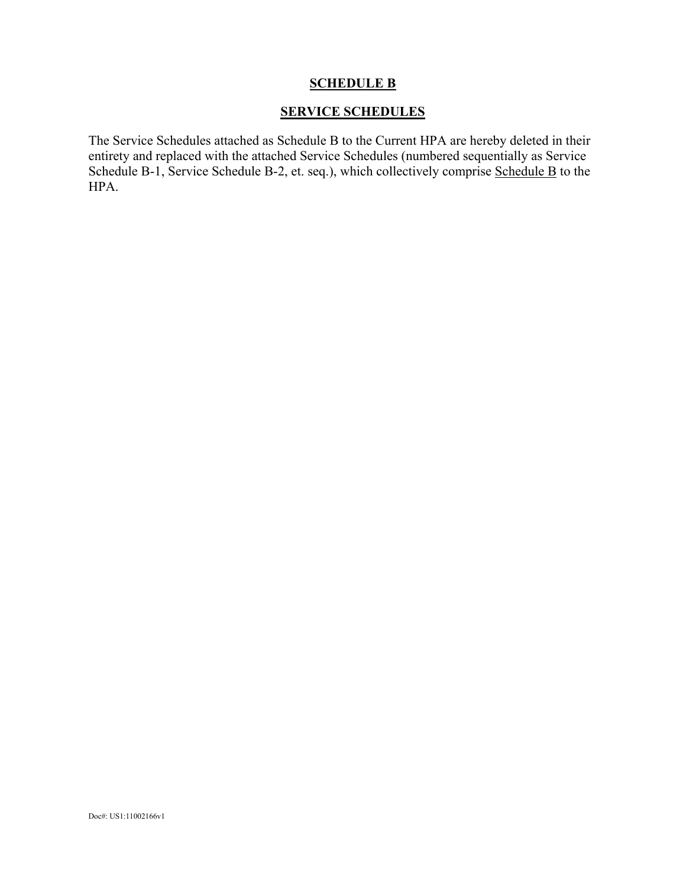#### **SCHEDULE B**

#### **SERVICE SCHEDULES**

The Service Schedules attached as Schedule B to the Current HPA are hereby deleted in their entirety and replaced with the attached Service Schedules (numbered sequentially as Service Schedule B-1, Service Schedule B-2, et. seq.), which collectively comprise Schedule B to the HPA.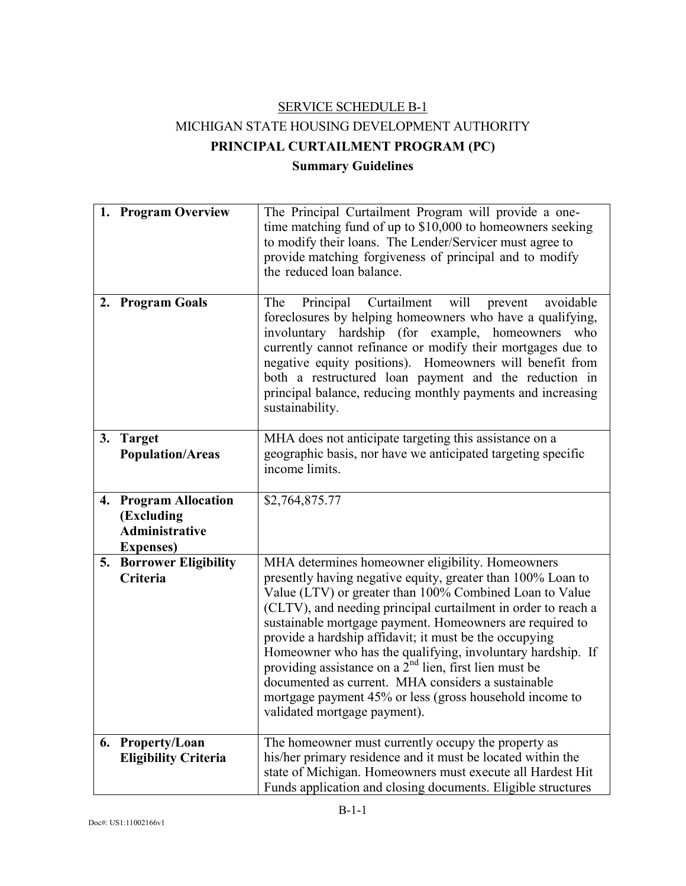# SERVICE SCHEDULE B-1 MICHIGAN STATE HOUSING DEVELOPMENT AUTHORITY **PRINCIPAL CURTAILMENT PROGRAM (PC) Summary Guidelines**

|    | 1. Program Overview                                                               | The Principal Curtailment Program will provide a one-<br>time matching fund of up to \$10,000 to homeowners seeking<br>to modify their loans. The Lender/Servicer must agree to<br>provide matching forgiveness of principal and to modify<br>the reduced loan balance.                                                                                                                                                                                                                                                                                                                                                                      |
|----|-----------------------------------------------------------------------------------|----------------------------------------------------------------------------------------------------------------------------------------------------------------------------------------------------------------------------------------------------------------------------------------------------------------------------------------------------------------------------------------------------------------------------------------------------------------------------------------------------------------------------------------------------------------------------------------------------------------------------------------------|
|    | 2. Program Goals                                                                  | Principal Curtailment will<br>avoidable<br>The<br>prevent<br>foreclosures by helping homeowners who have a qualifying,<br>involuntary hardship (for example, homeowners<br>who<br>currently cannot refinance or modify their mortgages due to<br>negative equity positions). Homeowners will benefit from<br>both a restructured loan payment and the reduction in<br>principal balance, reducing monthly payments and increasing<br>sustainability.                                                                                                                                                                                         |
| 3. | <b>Target</b><br><b>Population/Areas</b>                                          | MHA does not anticipate targeting this assistance on a<br>geographic basis, nor have we anticipated targeting specific<br>income limits.                                                                                                                                                                                                                                                                                                                                                                                                                                                                                                     |
|    | 4. Program Allocation<br>(Excluding<br><b>Administrative</b><br><b>Expenses</b> ) | \$2,764,875.77                                                                                                                                                                                                                                                                                                                                                                                                                                                                                                                                                                                                                               |
| 5. | <b>Borrower Eligibility</b><br>Criteria                                           | MHA determines homeowner eligibility. Homeowners<br>presently having negative equity, greater than 100% Loan to<br>Value (LTV) or greater than 100% Combined Loan to Value<br>(CLTV), and needing principal curtailment in order to reach a<br>sustainable mortgage payment. Homeowners are required to<br>provide a hardship affidavit; it must be the occupying<br>Homeowner who has the qualifying, involuntary hardship. If<br>providing assistance on a $2nd$ lien, first lien must be<br>documented as current. MHA considers a sustainable<br>mortgage payment 45% or less (gross household income to<br>validated mortgage payment). |
|    | 6. Property/Loan<br><b>Eligibility Criteria</b>                                   | The homeowner must currently occupy the property as<br>his/her primary residence and it must be located within the<br>state of Michigan. Homeowners must execute all Hardest Hit<br>Funds application and closing documents. Eligible structures                                                                                                                                                                                                                                                                                                                                                                                             |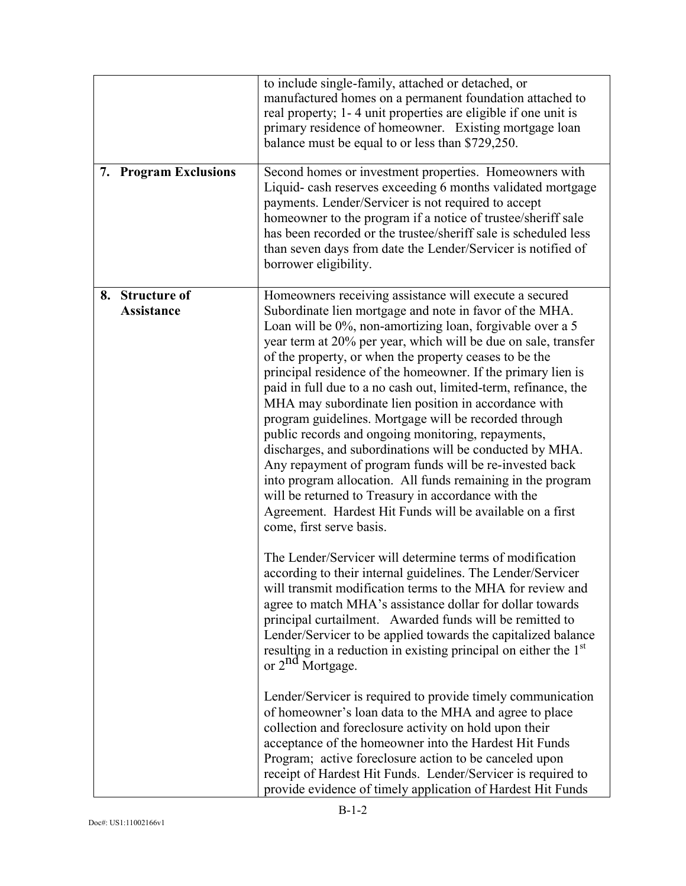| 7. Program Exclusions                | to include single-family, attached or detached, or<br>manufactured homes on a permanent foundation attached to<br>real property; 1-4 unit properties are eligible if one unit is<br>primary residence of homeowner. Existing mortgage loan<br>balance must be equal to or less than \$729,250.<br>Second homes or investment properties. Homeowners with<br>Liquid-cash reserves exceeding 6 months validated mortgage<br>payments. Lender/Servicer is not required to accept<br>homeowner to the program if a notice of trustee/sheriff sale<br>has been recorded or the trustee/sheriff sale is scheduled less<br>than seven days from date the Lender/Servicer is notified of<br>borrower eligibility.                                                                                                                                                                                                                                                  |
|--------------------------------------|------------------------------------------------------------------------------------------------------------------------------------------------------------------------------------------------------------------------------------------------------------------------------------------------------------------------------------------------------------------------------------------------------------------------------------------------------------------------------------------------------------------------------------------------------------------------------------------------------------------------------------------------------------------------------------------------------------------------------------------------------------------------------------------------------------------------------------------------------------------------------------------------------------------------------------------------------------|
| 8. Structure of<br><b>Assistance</b> | Homeowners receiving assistance will execute a secured<br>Subordinate lien mortgage and note in favor of the MHA.<br>Loan will be 0%, non-amortizing loan, forgivable over a 5<br>year term at 20% per year, which will be due on sale, transfer<br>of the property, or when the property ceases to be the<br>principal residence of the homeowner. If the primary lien is<br>paid in full due to a no cash out, limited-term, refinance, the<br>MHA may subordinate lien position in accordance with<br>program guidelines. Mortgage will be recorded through<br>public records and ongoing monitoring, repayments,<br>discharges, and subordinations will be conducted by MHA.<br>Any repayment of program funds will be re-invested back<br>into program allocation. All funds remaining in the program<br>will be returned to Treasury in accordance with the<br>Agreement. Hardest Hit Funds will be available on a first<br>come, first serve basis. |
|                                      | The Lender/Servicer will determine terms of modification<br>according to their internal guidelines. The Lender/Servicer<br>will transmit modification terms to the MHA for review and<br>agree to match MHA's assistance dollar for dollar towards<br>principal curtailment. Awarded funds will be remitted to<br>Lender/Servicer to be applied towards the capitalized balance<br>resulting in a reduction in existing principal on either the 1 <sup>st</sup><br>or 2 <sup>nd</sup> Mortgage.                                                                                                                                                                                                                                                                                                                                                                                                                                                            |
|                                      | Lender/Servicer is required to provide timely communication<br>of homeowner's loan data to the MHA and agree to place<br>collection and foreclosure activity on hold upon their<br>acceptance of the homeowner into the Hardest Hit Funds<br>Program; active foreclosure action to be canceled upon<br>receipt of Hardest Hit Funds. Lender/Servicer is required to<br>provide evidence of timely application of Hardest Hit Funds                                                                                                                                                                                                                                                                                                                                                                                                                                                                                                                         |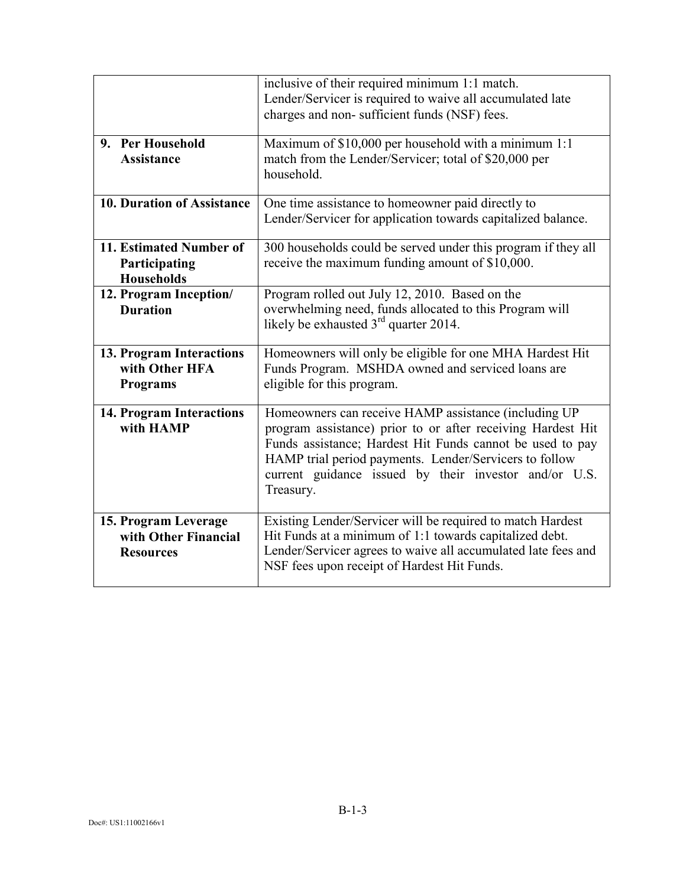|                                                                  | inclusive of their required minimum 1:1 match.<br>Lender/Servicer is required to waive all accumulated late<br>charges and non-sufficient funds (NSF) fees.                                                                                                                                                      |
|------------------------------------------------------------------|------------------------------------------------------------------------------------------------------------------------------------------------------------------------------------------------------------------------------------------------------------------------------------------------------------------|
| 9. Per Household<br><b>Assistance</b>                            | Maximum of \$10,000 per household with a minimum 1:1<br>match from the Lender/Servicer; total of \$20,000 per<br>household.                                                                                                                                                                                      |
| <b>10. Duration of Assistance</b>                                | One time assistance to homeowner paid directly to<br>Lender/Servicer for application towards capitalized balance.                                                                                                                                                                                                |
| 11. Estimated Number of<br>Participating<br><b>Households</b>    | 300 households could be served under this program if they all<br>receive the maximum funding amount of \$10,000.                                                                                                                                                                                                 |
| 12. Program Inception/<br><b>Duration</b>                        | Program rolled out July 12, 2010. Based on the<br>overwhelming need, funds allocated to this Program will<br>likely be exhausted 3 <sup>rd</sup> quarter 2014.                                                                                                                                                   |
| 13. Program Interactions<br>with Other HFA<br><b>Programs</b>    | Homeowners will only be eligible for one MHA Hardest Hit<br>Funds Program. MSHDA owned and serviced loans are<br>eligible for this program.                                                                                                                                                                      |
| <b>14. Program Interactions</b><br>with HAMP                     | Homeowners can receive HAMP assistance (including UP<br>program assistance) prior to or after receiving Hardest Hit<br>Funds assistance; Hardest Hit Funds cannot be used to pay<br>HAMP trial period payments. Lender/Servicers to follow<br>current guidance issued by their investor and/or U.S.<br>Treasury. |
| 15. Program Leverage<br>with Other Financial<br><b>Resources</b> | Existing Lender/Servicer will be required to match Hardest<br>Hit Funds at a minimum of 1:1 towards capitalized debt.<br>Lender/Servicer agrees to waive all accumulated late fees and<br>NSF fees upon receipt of Hardest Hit Funds.                                                                            |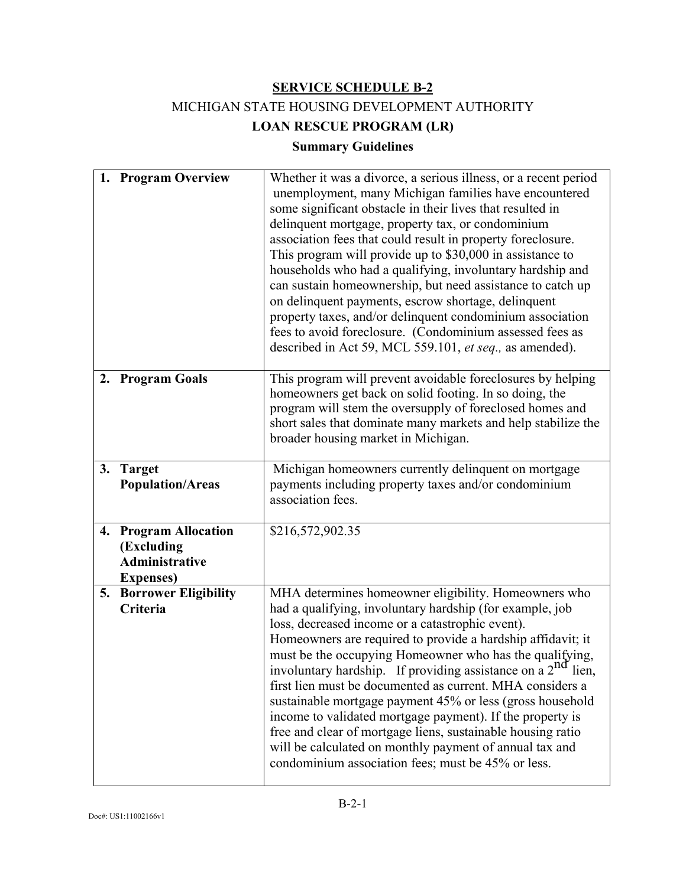# MICHIGAN STATE HOUSING DEVELOPMENT AUTHORITY

**LOAN RESCUE PROGRAM (LR)** 

## **Summary Guidelines**

|    | 1. Program Overview                                                               | Whether it was a divorce, a serious illness, or a recent period<br>unemployment, many Michigan families have encountered<br>some significant obstacle in their lives that resulted in<br>delinquent mortgage, property tax, or condominium<br>association fees that could result in property foreclosure.<br>This program will provide up to \$30,000 in assistance to<br>households who had a qualifying, involuntary hardship and<br>can sustain homeownership, but need assistance to catch up<br>on delinquent payments, escrow shortage, delinquent<br>property taxes, and/or delinquent condominium association<br>fees to avoid foreclosure. (Condominium assessed fees as<br>described in Act 59, MCL 559.101, et seq., as amended).      |
|----|-----------------------------------------------------------------------------------|---------------------------------------------------------------------------------------------------------------------------------------------------------------------------------------------------------------------------------------------------------------------------------------------------------------------------------------------------------------------------------------------------------------------------------------------------------------------------------------------------------------------------------------------------------------------------------------------------------------------------------------------------------------------------------------------------------------------------------------------------|
|    | 2. Program Goals                                                                  | This program will prevent avoidable foreclosures by helping<br>homeowners get back on solid footing. In so doing, the<br>program will stem the oversupply of foreclosed homes and<br>short sales that dominate many markets and help stabilize the<br>broader housing market in Michigan.                                                                                                                                                                                                                                                                                                                                                                                                                                                         |
| 3. | <b>Target</b><br><b>Population/Areas</b>                                          | Michigan homeowners currently delinquent on mortgage<br>payments including property taxes and/or condominium<br>association fees.                                                                                                                                                                                                                                                                                                                                                                                                                                                                                                                                                                                                                 |
|    | 4. Program Allocation<br>(Excluding<br><b>Administrative</b><br><b>Expenses</b> ) | \$216,572,902.35                                                                                                                                                                                                                                                                                                                                                                                                                                                                                                                                                                                                                                                                                                                                  |
| 5. | <b>Borrower Eligibility</b><br>Criteria                                           | MHA determines homeowner eligibility. Homeowners who<br>had a qualifying, involuntary hardship (for example, job<br>loss, decreased income or a catastrophic event).<br>Homeowners are required to provide a hardship affidavit; it<br>must be the occupying Homeowner who has the qualifying,<br>involuntary hardship. If providing assistance on a 2 <sup>nd</sup> lien,<br>first lien must be documented as current. MHA considers a<br>sustainable mortgage payment 45% or less (gross household<br>income to validated mortgage payment). If the property is<br>free and clear of mortgage liens, sustainable housing ratio<br>will be calculated on monthly payment of annual tax and<br>condominium association fees; must be 45% or less. |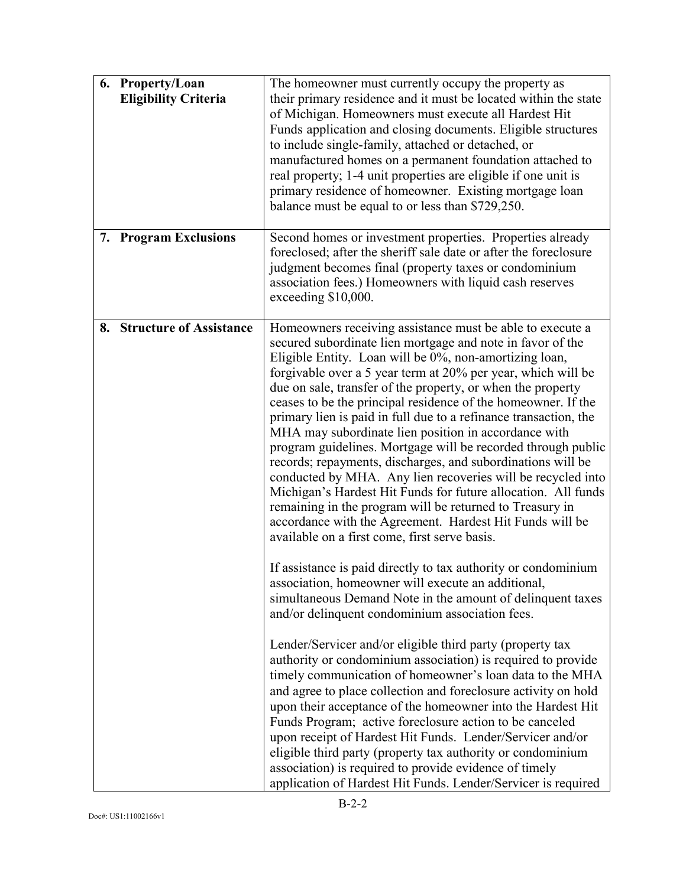|    | 6. Property/Loan<br><b>Eligibility Criteria</b> | The homeowner must currently occupy the property as<br>their primary residence and it must be located within the state<br>of Michigan. Homeowners must execute all Hardest Hit<br>Funds application and closing documents. Eligible structures<br>to include single-family, attached or detached, or<br>manufactured homes on a permanent foundation attached to<br>real property; 1-4 unit properties are eligible if one unit is<br>primary residence of homeowner. Existing mortgage loan<br>balance must be equal to or less than \$729,250.                                                                                                                                                                                                                                                                                                                                                                                                      |
|----|-------------------------------------------------|-------------------------------------------------------------------------------------------------------------------------------------------------------------------------------------------------------------------------------------------------------------------------------------------------------------------------------------------------------------------------------------------------------------------------------------------------------------------------------------------------------------------------------------------------------------------------------------------------------------------------------------------------------------------------------------------------------------------------------------------------------------------------------------------------------------------------------------------------------------------------------------------------------------------------------------------------------|
|    | 7. Program Exclusions                           | Second homes or investment properties. Properties already<br>foreclosed; after the sheriff sale date or after the foreclosure<br>judgment becomes final (property taxes or condominium<br>association fees.) Homeowners with liquid cash reserves<br>exceeding \$10,000.                                                                                                                                                                                                                                                                                                                                                                                                                                                                                                                                                                                                                                                                              |
| 8. | <b>Structure of Assistance</b>                  | Homeowners receiving assistance must be able to execute a<br>secured subordinate lien mortgage and note in favor of the<br>Eligible Entity. Loan will be 0%, non-amortizing loan,<br>forgivable over a 5 year term at 20% per year, which will be<br>due on sale, transfer of the property, or when the property<br>ceases to be the principal residence of the homeowner. If the<br>primary lien is paid in full due to a refinance transaction, the<br>MHA may subordinate lien position in accordance with<br>program guidelines. Mortgage will be recorded through public<br>records; repayments, discharges, and subordinations will be<br>conducted by MHA. Any lien recoveries will be recycled into<br>Michigan's Hardest Hit Funds for future allocation. All funds<br>remaining in the program will be returned to Treasury in<br>accordance with the Agreement. Hardest Hit Funds will be<br>available on a first come, first serve basis. |
|    |                                                 | If assistance is paid directly to tax authority or condominium<br>association, homeowner will execute an additional,<br>simultaneous Demand Note in the amount of delinquent taxes<br>and/or delinquent condominium association fees.                                                                                                                                                                                                                                                                                                                                                                                                                                                                                                                                                                                                                                                                                                                 |
|    |                                                 | Lender/Servicer and/or eligible third party (property tax<br>authority or condominium association) is required to provide<br>timely communication of homeowner's loan data to the MHA<br>and agree to place collection and foreclosure activity on hold<br>upon their acceptance of the homeowner into the Hardest Hit<br>Funds Program; active foreclosure action to be canceled<br>upon receipt of Hardest Hit Funds. Lender/Servicer and/or<br>eligible third party (property tax authority or condominium<br>association) is required to provide evidence of timely<br>application of Hardest Hit Funds. Lender/Servicer is required                                                                                                                                                                                                                                                                                                              |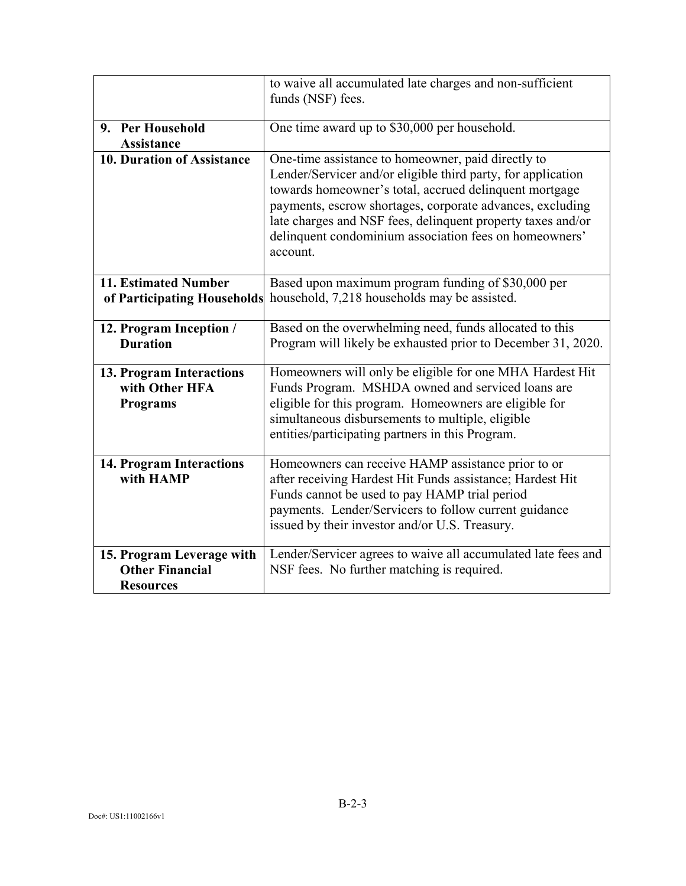|                                                                         | to waive all accumulated late charges and non-sufficient<br>funds (NSF) fees.                                                                                                                                                                                                                                                                                                  |
|-------------------------------------------------------------------------|--------------------------------------------------------------------------------------------------------------------------------------------------------------------------------------------------------------------------------------------------------------------------------------------------------------------------------------------------------------------------------|
|                                                                         |                                                                                                                                                                                                                                                                                                                                                                                |
| 9. Per Household                                                        | One time award up to \$30,000 per household.                                                                                                                                                                                                                                                                                                                                   |
| <b>Assistance</b>                                                       |                                                                                                                                                                                                                                                                                                                                                                                |
| <b>10. Duration of Assistance</b>                                       | One-time assistance to homeowner, paid directly to<br>Lender/Servicer and/or eligible third party, for application<br>towards homeowner's total, accrued delinquent mortgage<br>payments, escrow shortages, corporate advances, excluding<br>late charges and NSF fees, delinquent property taxes and/or<br>delinquent condominium association fees on homeowners'<br>account. |
| 11. Estimated Number<br>of Participating Households                     | Based upon maximum program funding of \$30,000 per<br>household, 7,218 households may be assisted.                                                                                                                                                                                                                                                                             |
| 12. Program Inception /<br><b>Duration</b>                              | Based on the overwhelming need, funds allocated to this<br>Program will likely be exhausted prior to December 31, 2020.                                                                                                                                                                                                                                                        |
| 13. Program Interactions<br>with Other HFA<br><b>Programs</b>           | Homeowners will only be eligible for one MHA Hardest Hit<br>Funds Program. MSHDA owned and serviced loans are<br>eligible for this program. Homeowners are eligible for<br>simultaneous disbursements to multiple, eligible<br>entities/participating partners in this Program.                                                                                                |
| <b>14. Program Interactions</b><br>with HAMP                            | Homeowners can receive HAMP assistance prior to or<br>after receiving Hardest Hit Funds assistance; Hardest Hit<br>Funds cannot be used to pay HAMP trial period<br>payments. Lender/Servicers to follow current guidance<br>issued by their investor and/or U.S. Treasury.                                                                                                    |
| 15. Program Leverage with<br><b>Other Financial</b><br><b>Resources</b> | Lender/Servicer agrees to waive all accumulated late fees and<br>NSF fees. No further matching is required.                                                                                                                                                                                                                                                                    |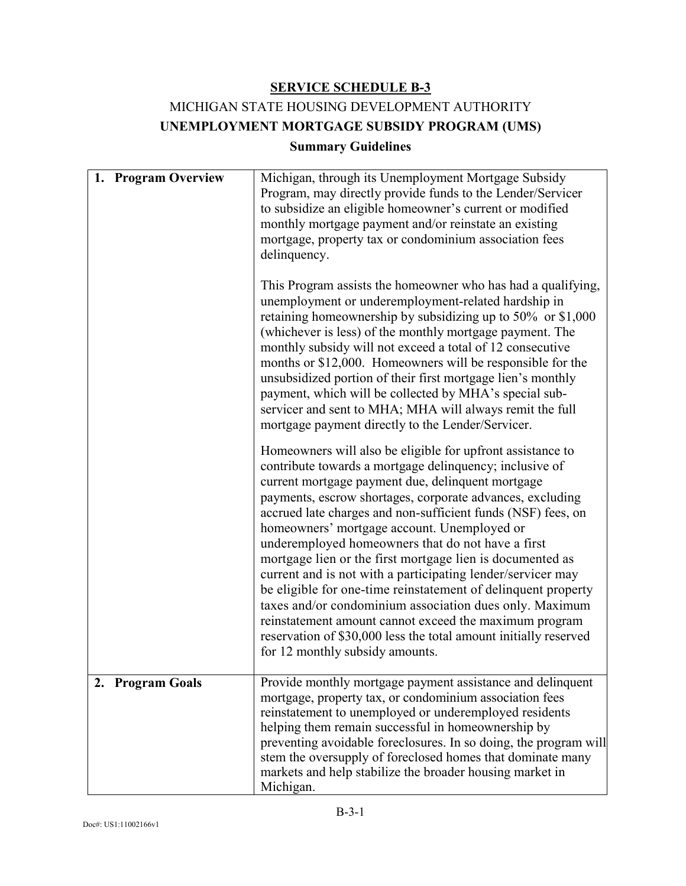# MICHIGAN STATE HOUSING DEVELOPMENT AUTHORITY **UNEMPLOYMENT MORTGAGE SUBSIDY PROGRAM (UMS)**

### **Summary Guidelines**

| 1. Program Overview        | Michigan, through its Unemployment Mortgage Subsidy<br>Program, may directly provide funds to the Lender/Servicer<br>to subsidize an eligible homeowner's current or modified<br>monthly mortgage payment and/or reinstate an existing<br>mortgage, property tax or condominium association fees<br>delinquency.<br>This Program assists the homeowner who has had a qualifying,<br>unemployment or underemployment-related hardship in<br>retaining homeownership by subsidizing up to $50\%$ or \$1,000<br>(whichever is less) of the monthly mortgage payment. The<br>monthly subsidy will not exceed a total of 12 consecutive<br>months or \$12,000. Homeowners will be responsible for the<br>unsubsidized portion of their first mortgage lien's monthly<br>payment, which will be collected by MHA's special sub-<br>servicer and sent to MHA; MHA will always remit the full<br>mortgage payment directly to the Lender/Servicer.<br>Homeowners will also be eligible for upfront assistance to<br>contribute towards a mortgage delinquency; inclusive of<br>current mortgage payment due, delinquent mortgage<br>payments, escrow shortages, corporate advances, excluding<br>accrued late charges and non-sufficient funds (NSF) fees, on<br>homeowners' mortgage account. Unemployed or<br>underemployed homeowners that do not have a first<br>mortgage lien or the first mortgage lien is documented as<br>current and is not with a participating lender/servicer may<br>be eligible for one-time reinstatement of delinquent property<br>taxes and/or condominium association dues only. Maximum<br>reinstatement amount cannot exceed the maximum program<br>reservation of \$30,000 less the total amount initially reserved<br>for 12 monthly subsidy amounts. |
|----------------------------|------------------------------------------------------------------------------------------------------------------------------------------------------------------------------------------------------------------------------------------------------------------------------------------------------------------------------------------------------------------------------------------------------------------------------------------------------------------------------------------------------------------------------------------------------------------------------------------------------------------------------------------------------------------------------------------------------------------------------------------------------------------------------------------------------------------------------------------------------------------------------------------------------------------------------------------------------------------------------------------------------------------------------------------------------------------------------------------------------------------------------------------------------------------------------------------------------------------------------------------------------------------------------------------------------------------------------------------------------------------------------------------------------------------------------------------------------------------------------------------------------------------------------------------------------------------------------------------------------------------------------------------------------------------------------------------------------------------------------------------------------------------------------------|
| <b>Program Goals</b><br>2. | Provide monthly mortgage payment assistance and delinquent<br>mortgage, property tax, or condominium association fees<br>reinstatement to unemployed or underemployed residents<br>helping them remain successful in homeownership by<br>preventing avoidable foreclosures. In so doing, the program will<br>stem the oversupply of foreclosed homes that dominate many<br>markets and help stabilize the broader housing market in<br>Michigan.                                                                                                                                                                                                                                                                                                                                                                                                                                                                                                                                                                                                                                                                                                                                                                                                                                                                                                                                                                                                                                                                                                                                                                                                                                                                                                                                   |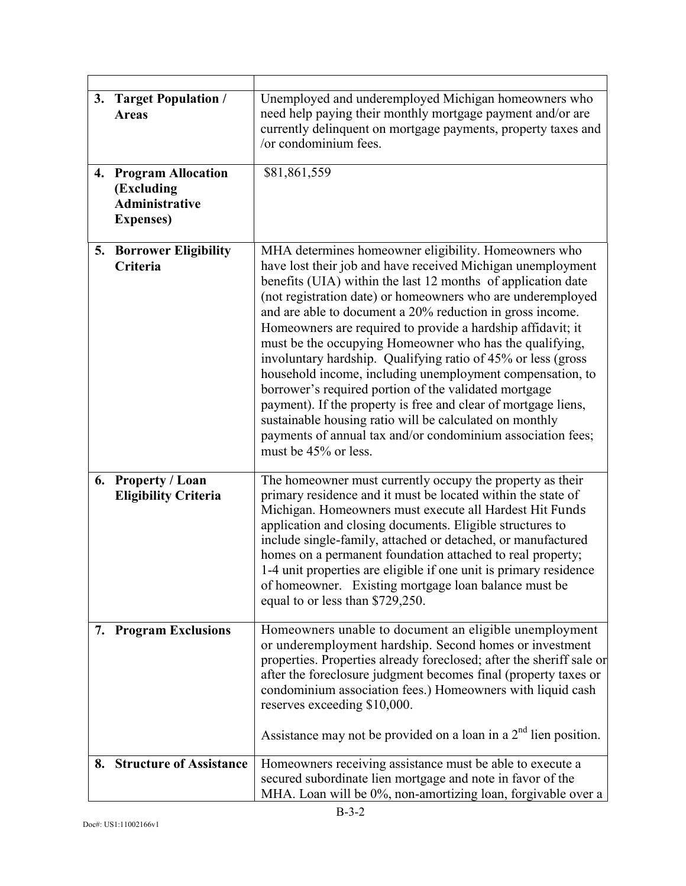| 3. | <b>Target Population /</b><br><b>Areas</b>                                            | Unemployed and underemployed Michigan homeowners who<br>need help paying their monthly mortgage payment and/or are<br>currently delinquent on mortgage payments, property taxes and<br>/or condominium fees.                                                                                                                                                                                                                                                                                                                                                                                                                                                                                                                                                                                                                                        |
|----|---------------------------------------------------------------------------------------|-----------------------------------------------------------------------------------------------------------------------------------------------------------------------------------------------------------------------------------------------------------------------------------------------------------------------------------------------------------------------------------------------------------------------------------------------------------------------------------------------------------------------------------------------------------------------------------------------------------------------------------------------------------------------------------------------------------------------------------------------------------------------------------------------------------------------------------------------------|
| 4. | <b>Program Allocation</b><br>(Excluding<br><b>Administrative</b><br><b>Expenses</b> ) | \$81,861,559                                                                                                                                                                                                                                                                                                                                                                                                                                                                                                                                                                                                                                                                                                                                                                                                                                        |
|    | <b>5. Borrower Eligibility</b><br>Criteria                                            | MHA determines homeowner eligibility. Homeowners who<br>have lost their job and have received Michigan unemployment<br>benefits (UIA) within the last 12 months of application date<br>(not registration date) or homeowners who are underemployed<br>and are able to document a 20% reduction in gross income.<br>Homeowners are required to provide a hardship affidavit; it<br>must be the occupying Homeowner who has the qualifying,<br>involuntary hardship. Qualifying ratio of 45% or less (gross<br>household income, including unemployment compensation, to<br>borrower's required portion of the validated mortgage<br>payment). If the property is free and clear of mortgage liens,<br>sustainable housing ratio will be calculated on monthly<br>payments of annual tax and/or condominium association fees;<br>must be 45% or less. |
|    | 6. Property / Loan<br><b>Eligibility Criteria</b>                                     | The homeowner must currently occupy the property as their<br>primary residence and it must be located within the state of<br>Michigan. Homeowners must execute all Hardest Hit Funds<br>application and closing documents. Eligible structures to<br>include single-family, attached or detached, or manufactured<br>homes on a permanent foundation attached to real property;<br>1-4 unit properties are eligible if one unit is primary residence<br>of homeowner. Existing mortgage loan balance must be<br>equal to or less than \$729,250.                                                                                                                                                                                                                                                                                                    |
|    | 7. Program Exclusions                                                                 | Homeowners unable to document an eligible unemployment<br>or underemployment hardship. Second homes or investment<br>properties. Properties already foreclosed; after the sheriff sale or<br>after the foreclosure judgment becomes final (property taxes or<br>condominium association fees.) Homeowners with liquid cash<br>reserves exceeding \$10,000.<br>Assistance may not be provided on a loan in a $2nd$ lien position.                                                                                                                                                                                                                                                                                                                                                                                                                    |
|    | 8. Structure of Assistance                                                            | Homeowners receiving assistance must be able to execute a<br>secured subordinate lien mortgage and note in favor of the<br>MHA. Loan will be 0%, non-amortizing loan, forgivable over a                                                                                                                                                                                                                                                                                                                                                                                                                                                                                                                                                                                                                                                             |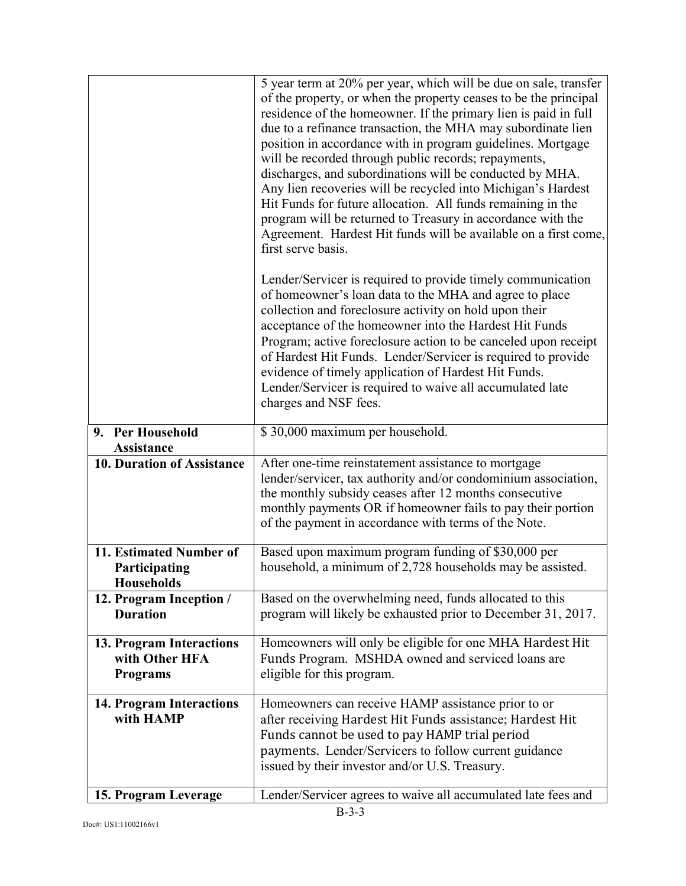|                                                        | 5 year term at 20% per year, which will be due on sale, transfer<br>of the property, or when the property ceases to be the principal |
|--------------------------------------------------------|--------------------------------------------------------------------------------------------------------------------------------------|
|                                                        | residence of the homeowner. If the primary lien is paid in full                                                                      |
|                                                        | due to a refinance transaction, the MHA may subordinate lien                                                                         |
|                                                        | position in accordance with in program guidelines. Mortgage<br>will be recorded through public records; repayments,                  |
|                                                        | discharges, and subordinations will be conducted by MHA.                                                                             |
|                                                        | Any lien recoveries will be recycled into Michigan's Hardest                                                                         |
|                                                        | Hit Funds for future allocation. All funds remaining in the                                                                          |
|                                                        | program will be returned to Treasury in accordance with the<br>Agreement. Hardest Hit funds will be available on a first come,       |
|                                                        | first serve basis.                                                                                                                   |
|                                                        | Lender/Servicer is required to provide timely communication                                                                          |
|                                                        | of homeowner's loan data to the MHA and agree to place                                                                               |
|                                                        | collection and foreclosure activity on hold upon their                                                                               |
|                                                        | acceptance of the homeowner into the Hardest Hit Funds<br>Program; active foreclosure action to be canceled upon receipt             |
|                                                        | of Hardest Hit Funds. Lender/Servicer is required to provide                                                                         |
|                                                        | evidence of timely application of Hardest Hit Funds.                                                                                 |
|                                                        | Lender/Servicer is required to waive all accumulated late                                                                            |
|                                                        | charges and NSF fees.                                                                                                                |
| 9. Per Household                                       | \$30,000 maximum per household.                                                                                                      |
| <b>Assistance</b><br><b>10. Duration of Assistance</b> | After one-time reinstatement assistance to mortgage                                                                                  |
|                                                        | lender/servicer, tax authority and/or condominium association,                                                                       |
|                                                        | the monthly subsidy ceases after 12 months consecutive                                                                               |
|                                                        | monthly payments OR if homeowner fails to pay their portion<br>of the payment in accordance with terms of the Note.                  |
|                                                        |                                                                                                                                      |
| 11. Estimated Number of                                | Based upon maximum program funding of \$30,000 per                                                                                   |
| Participating<br><b>Households</b>                     | household, a minimum of 2,728 households may be assisted.                                                                            |
| 12. Program Inception /                                | Based on the overwhelming need, funds allocated to this                                                                              |
| <b>Duration</b>                                        | program will likely be exhausted prior to December 31, 2017.                                                                         |
| 13. Program Interactions                               | Homeowners will only be eligible for one MHA Hardest Hit                                                                             |
| with Other HFA                                         | Funds Program. MSHDA owned and serviced loans are                                                                                    |
| <b>Programs</b>                                        | eligible for this program.                                                                                                           |
| 14. Program Interactions                               | Homeowners can receive HAMP assistance prior to or                                                                                   |
| with HAMP                                              | after receiving Hardest Hit Funds assistance; Hardest Hit                                                                            |
|                                                        | Funds cannot be used to pay HAMP trial period<br>payments. Lender/Servicers to follow current guidance                               |
|                                                        | issued by their investor and/or U.S. Treasury.                                                                                       |
| 15. Program Leverage                                   | Lender/Servicer agrees to waive all accumulated late fees and                                                                        |
|                                                        |                                                                                                                                      |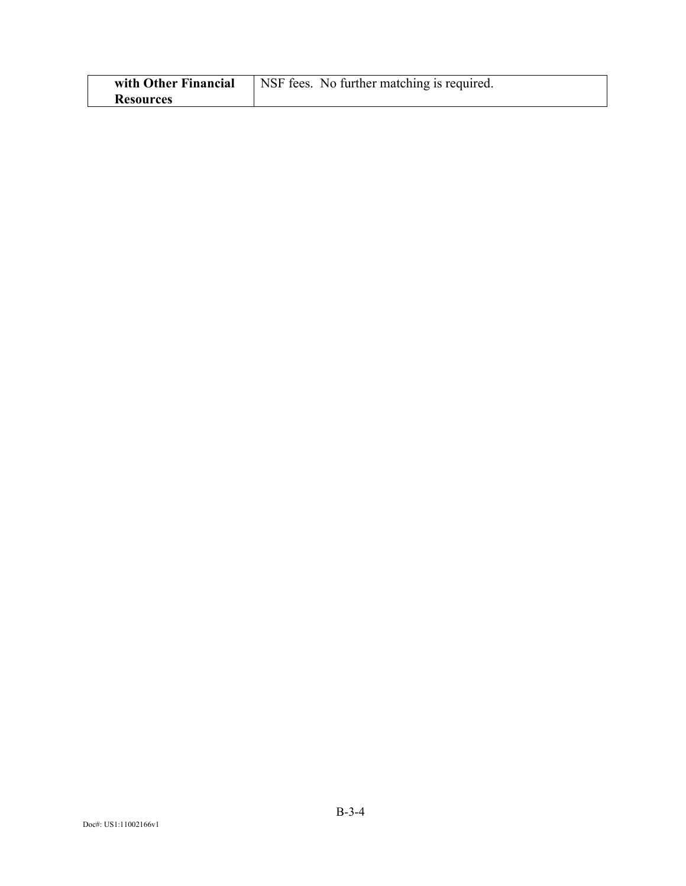| with Other Financial | NSF fees. No further matching is required. |
|----------------------|--------------------------------------------|
| <b>Resources</b>     |                                            |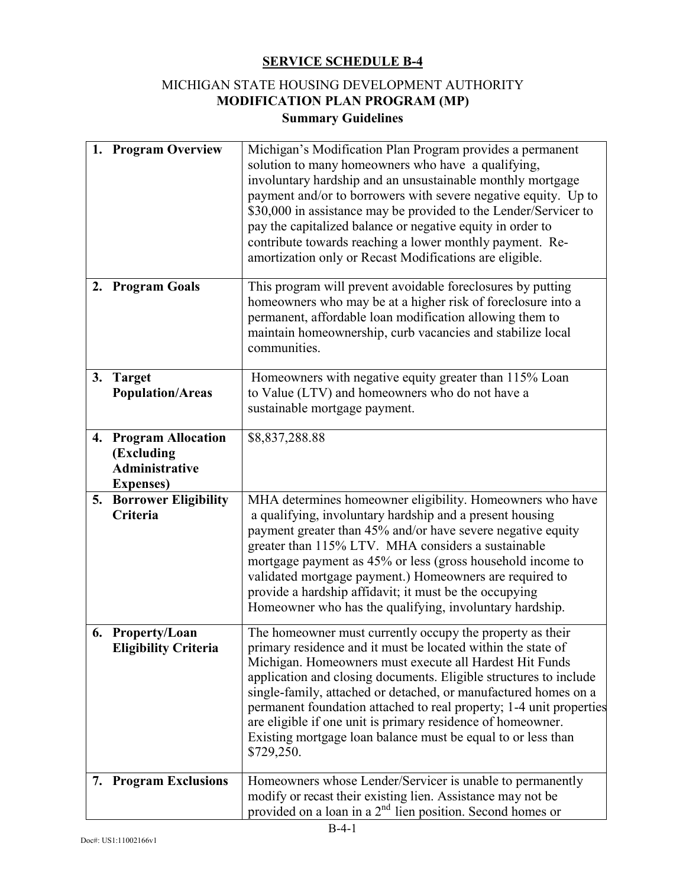## MICHIGAN STATE HOUSING DEVELOPMENT AUTHORITY **MODIFICATION PLAN PROGRAM (MP) Summary Guidelines**

|    | 1. Program Overview                                                                   | Michigan's Modification Plan Program provides a permanent<br>solution to many homeowners who have a qualifying,<br>involuntary hardship and an unsustainable monthly mortgage<br>payment and/or to borrowers with severe negative equity. Up to<br>\$30,000 in assistance may be provided to the Lender/Servicer to<br>pay the capitalized balance or negative equity in order to<br>contribute towards reaching a lower monthly payment. Re-<br>amortization only or Recast Modifications are eligible.                                         |
|----|---------------------------------------------------------------------------------------|--------------------------------------------------------------------------------------------------------------------------------------------------------------------------------------------------------------------------------------------------------------------------------------------------------------------------------------------------------------------------------------------------------------------------------------------------------------------------------------------------------------------------------------------------|
| 2. | <b>Program Goals</b>                                                                  | This program will prevent avoidable foreclosures by putting<br>homeowners who may be at a higher risk of foreclosure into a<br>permanent, affordable loan modification allowing them to<br>maintain homeownership, curb vacancies and stabilize local<br>communities.                                                                                                                                                                                                                                                                            |
|    | 3. Target<br><b>Population/Areas</b>                                                  | Homeowners with negative equity greater than 115% Loan<br>to Value (LTV) and homeowners who do not have a<br>sustainable mortgage payment.                                                                                                                                                                                                                                                                                                                                                                                                       |
| 4. | <b>Program Allocation</b><br>(Excluding<br><b>Administrative</b><br><b>Expenses</b> ) | \$8,837,288.88                                                                                                                                                                                                                                                                                                                                                                                                                                                                                                                                   |
| 5. | <b>Borrower Eligibility</b><br>Criteria                                               | MHA determines homeowner eligibility. Homeowners who have<br>a qualifying, involuntary hardship and a present housing<br>payment greater than 45% and/or have severe negative equity<br>greater than 115% LTV. MHA considers a sustainable<br>mortgage payment as 45% or less (gross household income to<br>validated mortgage payment.) Homeowners are required to<br>provide a hardship affidavit; it must be the occupying<br>Homeowner who has the qualifying, involuntary hardship.                                                         |
|    | 6. Property/Loan<br><b>Eligibility Criteria</b>                                       | The homeowner must currently occupy the property as their<br>primary residence and it must be located within the state of<br>Michigan. Homeowners must execute all Hardest Hit Funds<br>application and closing documents. Eligible structures to include<br>single-family, attached or detached, or manufactured homes on a<br>permanent foundation attached to real property; 1-4 unit properties<br>are eligible if one unit is primary residence of homeowner.<br>Existing mortgage loan balance must be equal to or less than<br>\$729,250. |
| 7. | <b>Program Exclusions</b>                                                             | Homeowners whose Lender/Servicer is unable to permanently<br>modify or recast their existing lien. Assistance may not be<br>provided on a loan in a $2nd$ lien position. Second homes or                                                                                                                                                                                                                                                                                                                                                         |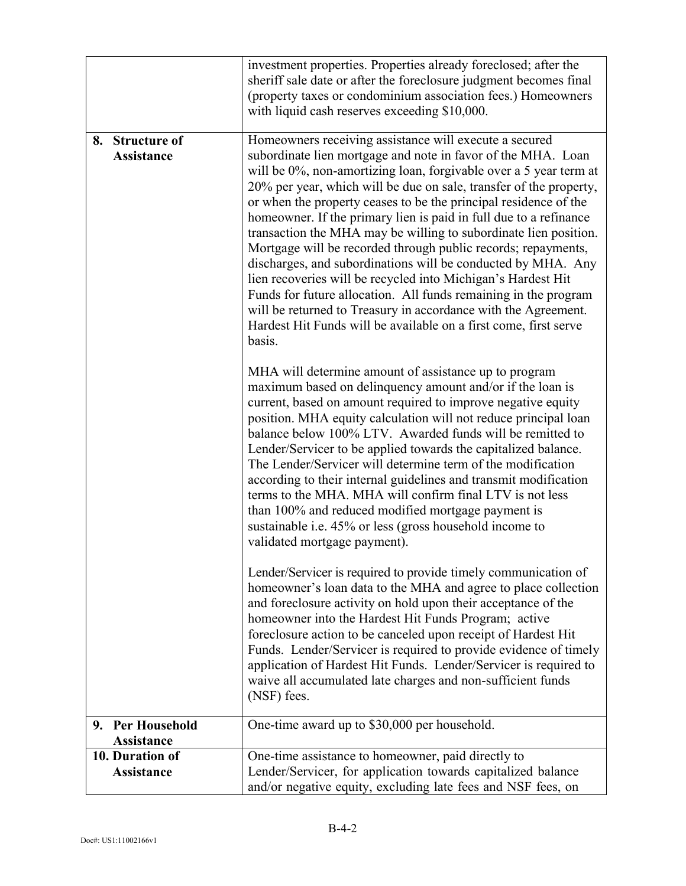|                                                 | investment properties. Properties already foreclosed; after the<br>sheriff sale date or after the foreclosure judgment becomes final<br>(property taxes or condominium association fees.) Homeowners<br>with liquid cash reserves exceeding \$10,000.                                                                                                                                                                                                                                                                                                                                                                                                                                                                                                                                                                                                                                              |
|-------------------------------------------------|----------------------------------------------------------------------------------------------------------------------------------------------------------------------------------------------------------------------------------------------------------------------------------------------------------------------------------------------------------------------------------------------------------------------------------------------------------------------------------------------------------------------------------------------------------------------------------------------------------------------------------------------------------------------------------------------------------------------------------------------------------------------------------------------------------------------------------------------------------------------------------------------------|
| <b>Structure of</b><br>8.<br><b>Assistance</b>  | Homeowners receiving assistance will execute a secured<br>subordinate lien mortgage and note in favor of the MHA. Loan<br>will be 0%, non-amortizing loan, forgivable over a 5 year term at<br>20% per year, which will be due on sale, transfer of the property,<br>or when the property ceases to be the principal residence of the<br>homeowner. If the primary lien is paid in full due to a refinance<br>transaction the MHA may be willing to subordinate lien position.<br>Mortgage will be recorded through public records; repayments,<br>discharges, and subordinations will be conducted by MHA. Any<br>lien recoveries will be recycled into Michigan's Hardest Hit<br>Funds for future allocation. All funds remaining in the program<br>will be returned to Treasury in accordance with the Agreement.<br>Hardest Hit Funds will be available on a first come, first serve<br>basis. |
|                                                 | MHA will determine amount of assistance up to program<br>maximum based on delinquency amount and/or if the loan is<br>current, based on amount required to improve negative equity<br>position. MHA equity calculation will not reduce principal loan<br>balance below 100% LTV. Awarded funds will be remitted to<br>Lender/Servicer to be applied towards the capitalized balance.<br>The Lender/Servicer will determine term of the modification<br>according to their internal guidelines and transmit modification<br>terms to the MHA. MHA will confirm final LTV is not less<br>than 100% and reduced modified mortgage payment is<br>sustainable i.e. 45% or less (gross household income to<br>validated mortgage payment).                                                                                                                                                               |
|                                                 | Lender/Servicer is required to provide timely communication of<br>homeowner's loan data to the MHA and agree to place collection<br>and foreclosure activity on hold upon their acceptance of the<br>homeowner into the Hardest Hit Funds Program; active<br>foreclosure action to be canceled upon receipt of Hardest Hit<br>Funds. Lender/Servicer is required to provide evidence of timely<br>application of Hardest Hit Funds. Lender/Servicer is required to<br>waive all accumulated late charges and non-sufficient funds<br>(NSF) fees.                                                                                                                                                                                                                                                                                                                                                   |
| <b>Per Household</b><br>9.<br><b>Assistance</b> | One-time award up to \$30,000 per household.                                                                                                                                                                                                                                                                                                                                                                                                                                                                                                                                                                                                                                                                                                                                                                                                                                                       |
| 10. Duration of                                 | One-time assistance to homeowner, paid directly to                                                                                                                                                                                                                                                                                                                                                                                                                                                                                                                                                                                                                                                                                                                                                                                                                                                 |
| Assistance                                      | Lender/Servicer, for application towards capitalized balance<br>and/or negative equity, excluding late fees and NSF fees, on                                                                                                                                                                                                                                                                                                                                                                                                                                                                                                                                                                                                                                                                                                                                                                       |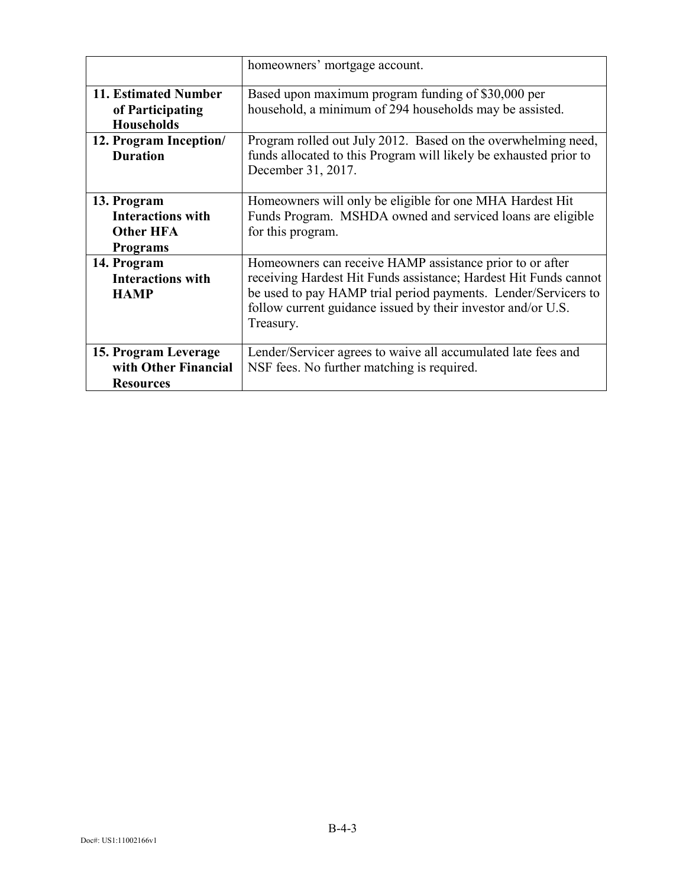|                                                                                | homeowners' mortgage account.                                                                                                                                                                                                                                               |
|--------------------------------------------------------------------------------|-----------------------------------------------------------------------------------------------------------------------------------------------------------------------------------------------------------------------------------------------------------------------------|
| 11. Estimated Number<br>of Participating<br><b>Households</b>                  | Based upon maximum program funding of \$30,000 per<br>household, a minimum of 294 households may be assisted.                                                                                                                                                               |
| 12. Program Inception/<br><b>Duration</b>                                      | Program rolled out July 2012. Based on the overwhelming need,<br>funds allocated to this Program will likely be exhausted prior to<br>December 31, 2017.                                                                                                                    |
| 13. Program<br><b>Interactions with</b><br><b>Other HFA</b><br><b>Programs</b> | Homeowners will only be eligible for one MHA Hardest Hit<br>Funds Program. MSHDA owned and serviced loans are eligible<br>for this program.                                                                                                                                 |
| 14. Program<br><b>Interactions with</b><br><b>HAMP</b>                         | Homeowners can receive HAMP assistance prior to or after<br>receiving Hardest Hit Funds assistance; Hardest Hit Funds cannot<br>be used to pay HAMP trial period payments. Lender/Servicers to<br>follow current guidance issued by their investor and/or U.S.<br>Treasury. |
| 15. Program Leverage<br>with Other Financial<br><b>Resources</b>               | Lender/Servicer agrees to waive all accumulated late fees and<br>NSF fees. No further matching is required.                                                                                                                                                                 |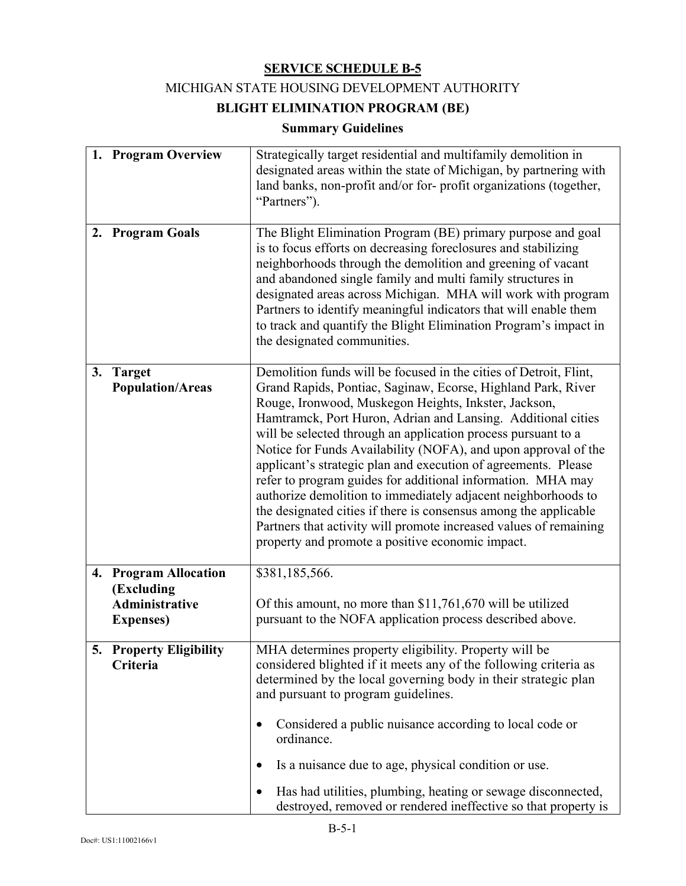### MICHIGAN STATE HOUSING DEVELOPMENT AUTHORITY

# **BLIGHT ELIMINATION PROGRAM (BE)**

## **Summary Guidelines**

|    | 1. Program Overview                                                        | Strategically target residential and multifamily demolition in<br>designated areas within the state of Michigan, by partnering with<br>land banks, non-profit and/or for-profit organizations (together,<br>"Partners").                                                                                                                                                                                                                                                                                                                                                                                                                                                                                                                                                                    |
|----|----------------------------------------------------------------------------|---------------------------------------------------------------------------------------------------------------------------------------------------------------------------------------------------------------------------------------------------------------------------------------------------------------------------------------------------------------------------------------------------------------------------------------------------------------------------------------------------------------------------------------------------------------------------------------------------------------------------------------------------------------------------------------------------------------------------------------------------------------------------------------------|
| 2. | <b>Program Goals</b>                                                       | The Blight Elimination Program (BE) primary purpose and goal<br>is to focus efforts on decreasing foreclosures and stabilizing<br>neighborhoods through the demolition and greening of vacant<br>and abandoned single family and multi family structures in<br>designated areas across Michigan. MHA will work with program<br>Partners to identify meaningful indicators that will enable them<br>to track and quantify the Blight Elimination Program's impact in<br>the designated communities.                                                                                                                                                                                                                                                                                          |
|    | 3. Target<br><b>Population/Areas</b>                                       | Demolition funds will be focused in the cities of Detroit, Flint,<br>Grand Rapids, Pontiac, Saginaw, Ecorse, Highland Park, River<br>Rouge, Ironwood, Muskegon Heights, Inkster, Jackson,<br>Hamtramck, Port Huron, Adrian and Lansing. Additional cities<br>will be selected through an application process pursuant to a<br>Notice for Funds Availability (NOFA), and upon approval of the<br>applicant's strategic plan and execution of agreements. Please<br>refer to program guides for additional information. MHA may<br>authorize demolition to immediately adjacent neighborhoods to<br>the designated cities if there is consensus among the applicable<br>Partners that activity will promote increased values of remaining<br>property and promote a positive economic impact. |
|    | 4. Program Allocation<br>(Excluding<br>Administrative<br><b>Expenses</b> ) | \$381,185,566.<br>Of this amount, no more than \$11,761,670 will be utilized<br>pursuant to the NOFA application process described above.                                                                                                                                                                                                                                                                                                                                                                                                                                                                                                                                                                                                                                                   |
|    | 5. Property Eligibility<br>Criteria                                        | MHA determines property eligibility. Property will be<br>considered blighted if it meets any of the following criteria as<br>determined by the local governing body in their strategic plan<br>and pursuant to program guidelines.<br>Considered a public nuisance according to local code or<br>$\bullet$<br>ordinance.<br>Is a nuisance due to age, physical condition or use.<br>Has had utilities, plumbing, heating or sewage disconnected,<br>destroyed, removed or rendered ineffective so that property is                                                                                                                                                                                                                                                                          |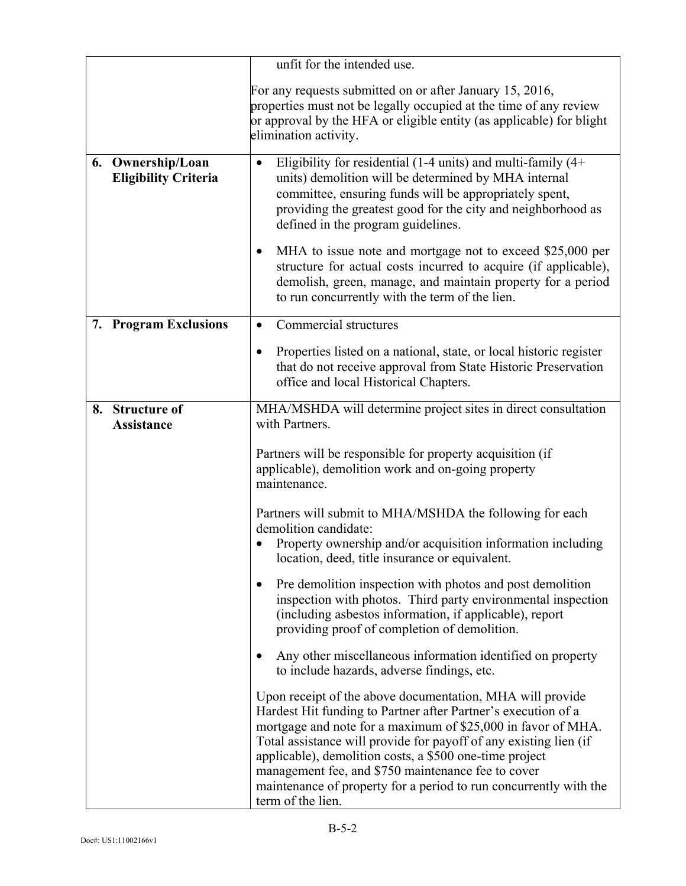|                                                     | unfit for the intended use.                                                                                                                                                                                                                                                                                                                                                                                                                                                |  |
|-----------------------------------------------------|----------------------------------------------------------------------------------------------------------------------------------------------------------------------------------------------------------------------------------------------------------------------------------------------------------------------------------------------------------------------------------------------------------------------------------------------------------------------------|--|
|                                                     | For any requests submitted on or after January 15, 2016,<br>properties must not be legally occupied at the time of any review<br>or approval by the HFA or eligible entity (as applicable) for blight<br>elimination activity.                                                                                                                                                                                                                                             |  |
| Ownership/Loan<br>6.<br><b>Eligibility Criteria</b> | Eligibility for residential (1-4 units) and multi-family $(4+)$<br>$\bullet$<br>units) demolition will be determined by MHA internal<br>committee, ensuring funds will be appropriately spent,<br>providing the greatest good for the city and neighborhood as<br>defined in the program guidelines.                                                                                                                                                                       |  |
|                                                     | MHA to issue note and mortgage not to exceed \$25,000 per<br>structure for actual costs incurred to acquire (if applicable),<br>demolish, green, manage, and maintain property for a period<br>to run concurrently with the term of the lien.                                                                                                                                                                                                                              |  |
| 7. Program Exclusions                               | Commercial structures<br>$\bullet$                                                                                                                                                                                                                                                                                                                                                                                                                                         |  |
|                                                     | Properties listed on a national, state, or local historic register<br>$\bullet$<br>that do not receive approval from State Historic Preservation<br>office and local Historical Chapters.                                                                                                                                                                                                                                                                                  |  |
| <b>Structure of</b><br>8.<br><b>Assistance</b>      | MHA/MSHDA will determine project sites in direct consultation<br>with Partners.                                                                                                                                                                                                                                                                                                                                                                                            |  |
|                                                     | Partners will be responsible for property acquisition (if<br>applicable), demolition work and on-going property<br>maintenance.                                                                                                                                                                                                                                                                                                                                            |  |
|                                                     | Partners will submit to MHA/MSHDA the following for each<br>demolition candidate:<br>Property ownership and/or acquisition information including<br>location, deed, title insurance or equivalent.                                                                                                                                                                                                                                                                         |  |
|                                                     | Pre demolition inspection with photos and post demolition<br>inspection with photos. Third party environmental inspection<br>(including asbestos information, if applicable), report<br>providing proof of completion of demolition.                                                                                                                                                                                                                                       |  |
|                                                     | Any other miscellaneous information identified on property<br>to include hazards, adverse findings, etc.                                                                                                                                                                                                                                                                                                                                                                   |  |
|                                                     | Upon receipt of the above documentation, MHA will provide<br>Hardest Hit funding to Partner after Partner's execution of a<br>mortgage and note for a maximum of \$25,000 in favor of MHA.<br>Total assistance will provide for payoff of any existing lien (if<br>applicable), demolition costs, a \$500 one-time project<br>management fee, and \$750 maintenance fee to cover<br>maintenance of property for a period to run concurrently with the<br>term of the lien. |  |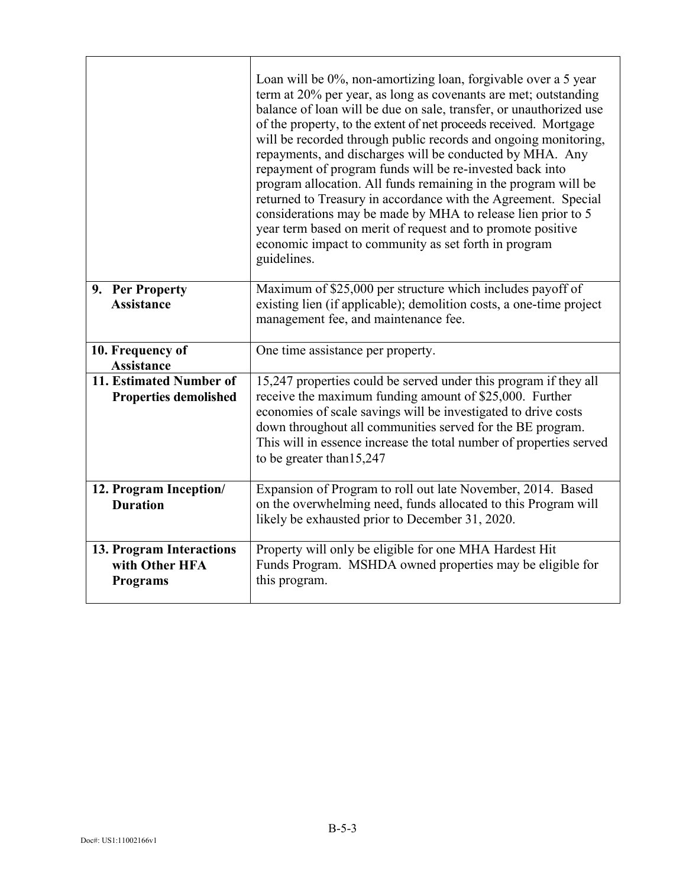|                                                               | Loan will be 0%, non-amortizing loan, forgivable over a 5 year<br>term at 20% per year, as long as covenants are met; outstanding<br>balance of loan will be due on sale, transfer, or unauthorized use<br>of the property, to the extent of net proceeds received. Mortgage<br>will be recorded through public records and ongoing monitoring,<br>repayments, and discharges will be conducted by MHA. Any<br>repayment of program funds will be re-invested back into<br>program allocation. All funds remaining in the program will be<br>returned to Treasury in accordance with the Agreement. Special<br>considerations may be made by MHA to release lien prior to 5<br>year term based on merit of request and to promote positive<br>economic impact to community as set forth in program<br>guidelines. |
|---------------------------------------------------------------|-------------------------------------------------------------------------------------------------------------------------------------------------------------------------------------------------------------------------------------------------------------------------------------------------------------------------------------------------------------------------------------------------------------------------------------------------------------------------------------------------------------------------------------------------------------------------------------------------------------------------------------------------------------------------------------------------------------------------------------------------------------------------------------------------------------------|
| 9. Per Property<br><b>Assistance</b>                          | Maximum of \$25,000 per structure which includes payoff of<br>existing lien (if applicable); demolition costs, a one-time project<br>management fee, and maintenance fee.                                                                                                                                                                                                                                                                                                                                                                                                                                                                                                                                                                                                                                         |
| 10. Frequency of<br>Assistance                                | One time assistance per property.                                                                                                                                                                                                                                                                                                                                                                                                                                                                                                                                                                                                                                                                                                                                                                                 |
| 11. Estimated Number of<br><b>Properties demolished</b>       | 15,247 properties could be served under this program if they all<br>receive the maximum funding amount of \$25,000. Further<br>economies of scale savings will be investigated to drive costs<br>down throughout all communities served for the BE program.<br>This will in essence increase the total number of properties served<br>to be greater than 15,247                                                                                                                                                                                                                                                                                                                                                                                                                                                   |
| 12. Program Inception/<br><b>Duration</b>                     | Expansion of Program to roll out late November, 2014. Based<br>on the overwhelming need, funds allocated to this Program will<br>likely be exhausted prior to December 31, 2020.                                                                                                                                                                                                                                                                                                                                                                                                                                                                                                                                                                                                                                  |
| 13. Program Interactions<br>with Other HFA<br><b>Programs</b> | Property will only be eligible for one MHA Hardest Hit<br>Funds Program. MSHDA owned properties may be eligible for<br>this program.                                                                                                                                                                                                                                                                                                                                                                                                                                                                                                                                                                                                                                                                              |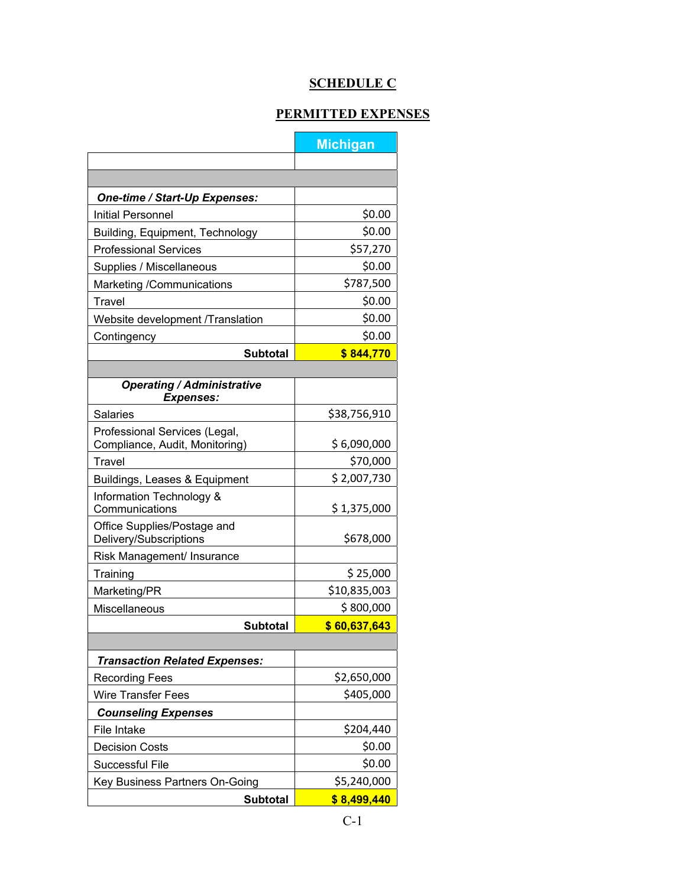# **SCHEDULE C**

# **PERMITTED EXPENSES**

Ē.

|                                                       | <b>Michigan</b> |
|-------------------------------------------------------|-----------------|
|                                                       |                 |
|                                                       |                 |
| One-time / Start-Up Expenses:                         |                 |
| Initial Personnel                                     | \$0.00          |
| Building, Equipment, Technology                       | \$0.00          |
| <b>Professional Services</b>                          | \$57,270        |
| Supplies / Miscellaneous                              | \$0.00          |
| Marketing /Communications                             | \$787,500       |
| <b>Travel</b>                                         | \$0.00          |
| Website development /Translation                      | \$0.00          |
| Contingency                                           | \$0.00          |
| <b>Subtotal</b>                                       | \$844,770       |
|                                                       |                 |
| <b>Operating / Administrative</b><br><b>Expenses:</b> |                 |
| <b>Salaries</b>                                       | \$38,756,910    |
| Professional Services (Legal,                         |                 |
| Compliance, Audit, Monitoring)                        | \$6,090,000     |
| Travel                                                | \$70,000        |
| Buildings, Leases & Equipment                         | \$2,007,730     |
| Information Technology &<br>Communications            | \$1,375,000     |
| Office Supplies/Postage and<br>Delivery/Subscriptions | \$678,000       |
| Risk Management/ Insurance                            |                 |
| Training                                              | \$25,000        |
| Marketing/PR                                          | \$10,835,003    |
| Miscellaneous                                         | \$800,000       |
| <b>Subtotal</b>                                       | \$60,637,643    |
|                                                       |                 |
| <b>Transaction Related Expenses:</b>                  |                 |
| <b>Recording Fees</b>                                 | \$2,650,000     |
| <b>Wire Transfer Fees</b>                             | \$405,000       |
| <b>Counseling Expenses</b>                            |                 |
| File Intake                                           | \$204,440       |
| <b>Decision Costs</b>                                 | \$0.00          |
| Successful File                                       | \$0.00          |
| Key Business Partners On-Going                        | \$5,240,000     |
| <b>Subtotal</b>                                       | \$8,499,440     |